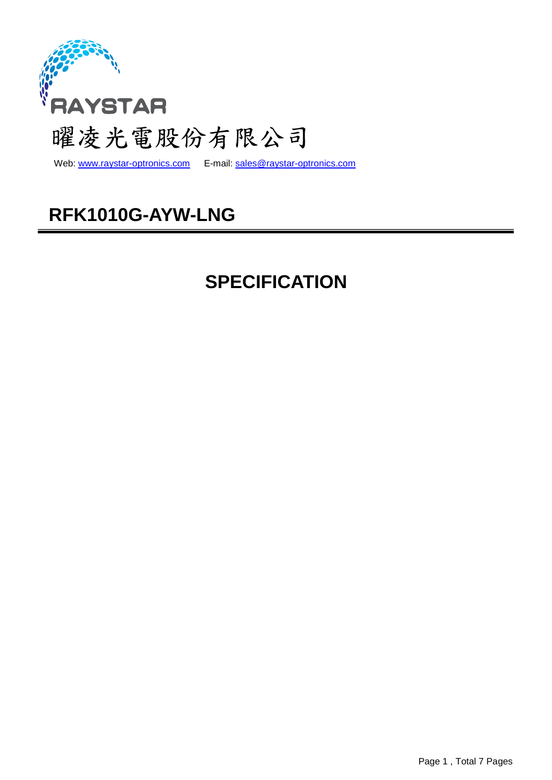

Web: www.raystar-optronics.com E-mail: sales@raystar-optronics.com

# **RFK1010G-AYW-LNG**

# **SPECIFICATION**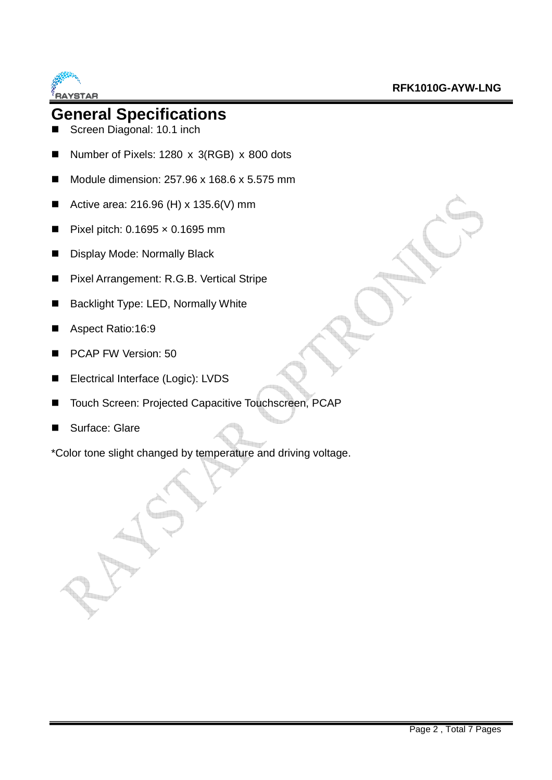

## **General Specifications**

- Screen Diagonal: 10.1 inch
- Number of Pixels: 1280 x 3(RGB) x 800 dots
- Module dimension:  $257.96 \times 168.6 \times 5.575$  mm
- Active area:  $216.96$  (H) x  $135.6$  (V) mm
- Pixel pitch:  $0.1695 \times 0.1695$  mm
- **Display Mode: Normally Black**
- Pixel Arrangement: R.G.B. Vertical Stripe
- Backlight Type: LED, Normally White
- Aspect Ratio:16:9
- PCAP FW Version: 50
- Electrical Interface (Logic): LVDS
- Touch Screen: Projected Capacitive Touchscreen, PCAP
- Surface: Glare

\*Color tone slight changed by temperature and driving voltage.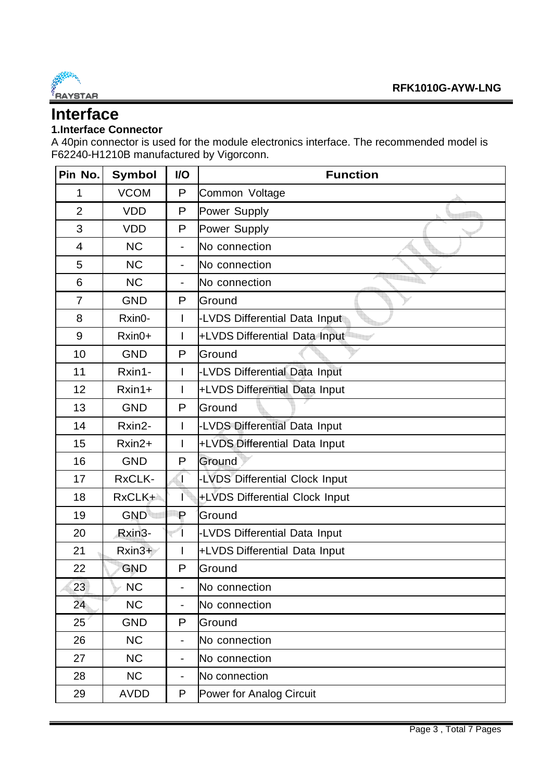

## **Interface**

#### **1.Interface Connector**

A 40pin connector is used for the module electronics interface. The recommended model is F62240-H1210B manufactured by Vigorconn.

| Pin No.        | <b>Symbol</b> | I/O                      | <b>Function</b>                |  |  |
|----------------|---------------|--------------------------|--------------------------------|--|--|
| 1              | <b>VCOM</b>   | P                        | Common Voltage                 |  |  |
| $\overline{2}$ | <b>VDD</b>    | P                        | Power Supply                   |  |  |
| 3              | <b>VDD</b>    | P                        | Power Supply                   |  |  |
| 4              | <b>NC</b>     | $\blacksquare$           | No connection                  |  |  |
| 5              | <b>NC</b>     | ÷,                       | No connection                  |  |  |
| 6              | <b>NC</b>     | $\blacksquare$           | No connection                  |  |  |
| $\overline{7}$ | <b>GND</b>    | P                        | Ground                         |  |  |
| 8              | Rxin0-        |                          | -LVDS Differential Data Input  |  |  |
| 9              | Rxin0+        | ı                        | +LVDS Differential Data Input  |  |  |
| 10             | <b>GND</b>    | P                        | Ground                         |  |  |
| 11             | Rxin1-        | I                        | -LVDS Differential Data Input  |  |  |
| 12             | $Rxin1+$      | I                        | +LVDS Differential Data Input  |  |  |
| 13             | <b>GND</b>    | P                        | Ground                         |  |  |
| 14             | Rxin2-        | T                        | -LVDS Differential Data Input  |  |  |
| 15             | $Rxin2+$      | I                        | +LVDS Differential Data Input  |  |  |
| 16             | <b>GND</b>    | P                        | Ground                         |  |  |
| 17             | RxCLK-        | T                        | -LVDS Differential Clock Input |  |  |
| 18             | RxCLK+        |                          | +LVDS Differential Clock Input |  |  |
| 19             | <b>GND</b>    | $\mathsf P$              | Ground                         |  |  |
| 20             | Rxin3-        |                          | -LVDS Differential Data Input  |  |  |
| 21             | $Rxin3+$      |                          | +LVDS Differential Data Input  |  |  |
| 22             | <b>GND</b>    | P                        | Ground                         |  |  |
| 23             | <b>NC</b>     | ۰                        | No connection                  |  |  |
| 24             | <b>NC</b>     |                          | No connection                  |  |  |
| 25             | <b>GND</b>    | P                        | Ground                         |  |  |
| 26             | <b>NC</b>     | ÷,                       | No connection                  |  |  |
| 27             | <b>NC</b>     | $\overline{\phantom{0}}$ | No connection                  |  |  |
| 28             | <b>NC</b>     |                          | No connection                  |  |  |
| 29             | <b>AVDD</b>   | P                        | Power for Analog Circuit       |  |  |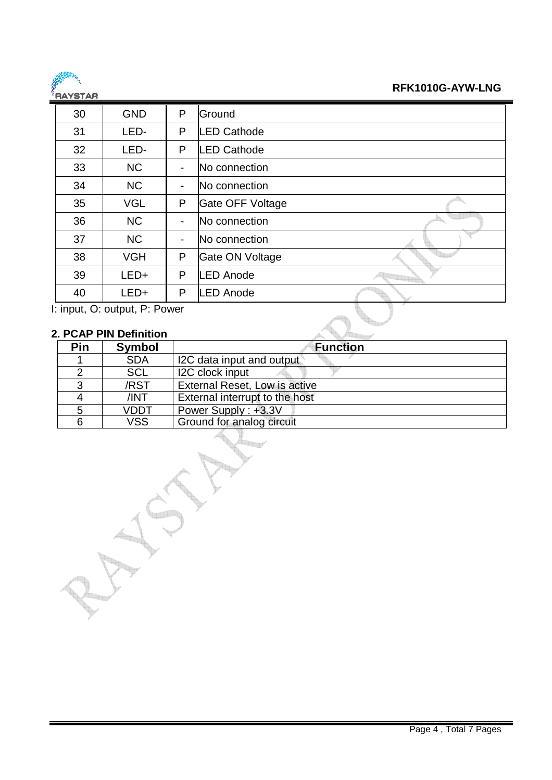

#### **RFK1010G-AYW-LNG**

| 5519155 |                                                                                                       |                |                   |
|---------|-------------------------------------------------------------------------------------------------------|----------------|-------------------|
| 30      | <b>GND</b>                                                                                            | P              | Ground            |
| 31      | LED-                                                                                                  | P              | <b>ED Cathode</b> |
| 32      | LED-                                                                                                  | P              | <b>ED Cathode</b> |
| 33      | <b>NC</b>                                                                                             | ۰              | No connection     |
| 34      | <b>NC</b>                                                                                             | $\blacksquare$ | No connection     |
| 35      | <b>VGL</b>                                                                                            | P              | Gate OFF Voltage  |
| 36      | <b>NC</b>                                                                                             | $\blacksquare$ | No connection     |
| 37      | <b>NC</b>                                                                                             | -              | No connection     |
| 38      | <b>VGH</b>                                                                                            | P              | Gate ON Voltage   |
| 39      | LED+                                                                                                  | P              | <b>ED Anode</b>   |
| 40      | LED+                                                                                                  | P              | <b>ED Anode</b>   |
|         | $\mathsf{L}$ is set $\mathsf{L}$ and $\mathsf{L}$ $\mathsf{L}$ $\mathsf{L}$ $\mathsf{L}$ $\mathsf{L}$ |                |                   |

I: input, O: output, P: Power

### **2. PCAP PIN Definition**

| Pin | <b>Symbol</b> | <b>Function</b>                |
|-----|---------------|--------------------------------|
|     | <b>SDA</b>    | I2C data input and output      |
|     | <b>SCL</b>    | I2C clock input                |
| 2   | /RST          | External Reset, Low is active  |
|     | /INT          | External interrupt to the host |
|     | VDDT          | Power Supply: +3.3V            |
|     | <b>VSS</b>    | Ground for analog circuit      |

 $L_{\rm H}$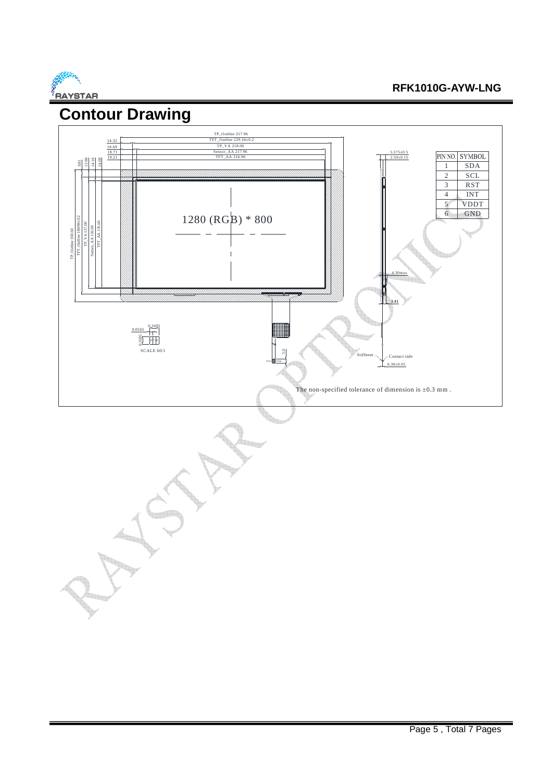

#### **RFK1010G-AYW-LNG**

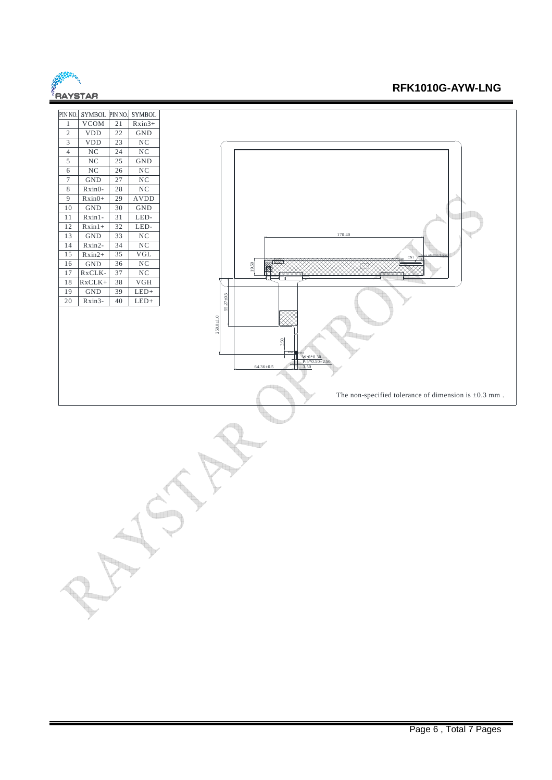

#### **RFK1010G-AYW-LNG**